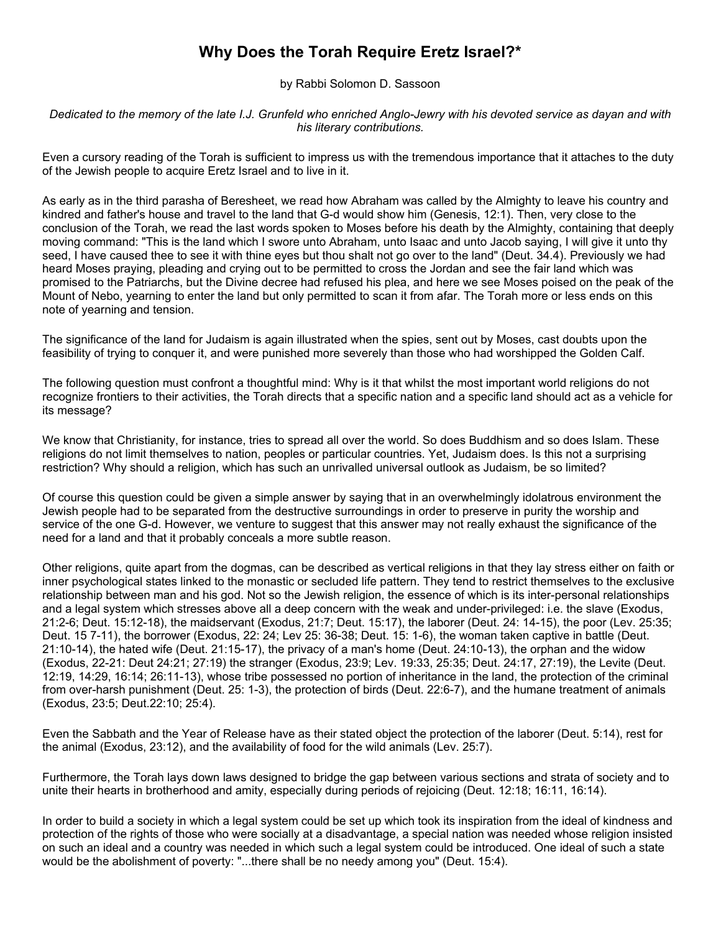## **Why Does the Torah Require Eretz Israel?\***

by Rabbi Solomon D. Sassoon

*Dedicated to the memory of the late I.J. Grunfeld who enriched Anglo-Jewry with his devoted service as dayan and with his literary contributions.*

Even a cursory reading of the Torah is sufficient to impress us with the tremendous importance that it attaches to the duty of the Jewish people to acquire Eretz Israel and to live in it.

As early as in the third parasha of Beresheet, we read how Abraham was called by the Almighty to leave his country and kindred and father's house and travel to the land that G-d would show him (Genesis, 12:1). Then, very close to the conclusion of the Torah, we read the last words spoken to Moses before his death by the Almighty, containing that deeply moving command: "This is the land which I swore unto Abraham, unto Isaac and unto Jacob saying, I will give it unto thy seed, I have caused thee to see it with thine eyes but thou shalt not go over to the land" (Deut. 34.4). Previously we had heard Moses praying, pleading and crying out to be permitted to cross the Jordan and see the fair land which was promised to the Patriarchs, but the Divine decree had refused his plea, and here we see Moses poised on the peak of the Mount of Nebo, yearning to enter the land but only permitted to scan it from afar. The Torah more or less ends on this note of yearning and tension.

The significance of the land for Judaism is again illustrated when the spies, sent out by Moses, cast doubts upon the feasibility of trying to conquer it, and were punished more severely than those who had worshipped the Golden Calf.

The following question must confront a thoughtful mind: Why is it that whilst the most important world religions do not recognize frontiers to their activities, the Torah directs that a specific nation and a specific land should act as a vehicle for its message?

We know that Christianity, for instance, tries to spread all over the world. So does Buddhism and so does Islam. These religions do not limit themselves to nation, peoples or particular countries. Yet, Judaism does. Is this not a surprising restriction? Why should a religion, which has such an unrivalled universal outlook as Judaism, be so limited?

Of course this question could be given a simple answer by saying that in an overwhelmingly idolatrous environment the Jewish people had to be separated from the destructive surroundings in order to preserve in purity the worship and service of the one G-d. However, we venture to suggest that this answer may not really exhaust the significance of the need for a land and that it probably conceals a more subtle reason.

Other religions, quite apart from the dogmas, can be described as vertical religions in that they lay stress either on faith or inner psychological states linked to the monastic or secluded life pattern. They tend to restrict themselves to the exclusive relationship between man and his god. Not so the Jewish religion, the essence of which is its inter-personal relationships and a legal system which stresses above all a deep concern with the weak and under-privileged: i.e. the slave (Exodus, 21:2-6; Deut. 15:12-18), the maidservant (Exodus, 21:7; Deut. 15:17), the laborer (Deut. 24: 14-15), the poor (Lev. 25:35; Deut. 15 7-11), the borrower (Exodus, 22: 24; Lev 25: 36-38; Deut. 15: 1-6), the woman taken captive in battle (Deut. 21:10-14), the hated wife (Deut. 21:15-17), the privacy of a man's home (Deut. 24:10-13), the orphan and the widow (Exodus, 22-21: Deut 24:21; 27:19) the stranger (Exodus, 23:9; Lev. 19:33, 25:35; Deut. 24:17, 27:19), the Levite (Deut. 12:19, 14:29, 16:14; 26:11-13), whose tribe possessed no portion of inheritance in the land, the protection of the criminal from over-harsh punishment (Deut. 25: 1-3), the protection of birds (Deut. 22:6-7), and the humane treatment of animals (Exodus, 23:5; Deut.22:10; 25:4).

Even the Sabbath and the Year of Release have as their stated object the protection of the laborer (Deut. 5:14), rest for the animal (Exodus, 23:12), and the availability of food for the wild animals (Lev. 25:7).

Furthermore, the Torah lays down laws designed to bridge the gap between various sections and strata of society and to unite their hearts in brotherhood and amity, especially during periods of rejoicing (Deut. 12:18; 16:11, 16:14).

In order to build a society in which a legal system could be set up which took its inspiration from the ideal of kindness and protection of the rights of those who were socially at a disadvantage, a special nation was needed whose religion insisted on such an ideal and a country was needed in which such a legal system could be introduced. One ideal of such a state would be the abolishment of poverty: "...there shall be no needy among you" (Deut. 15:4).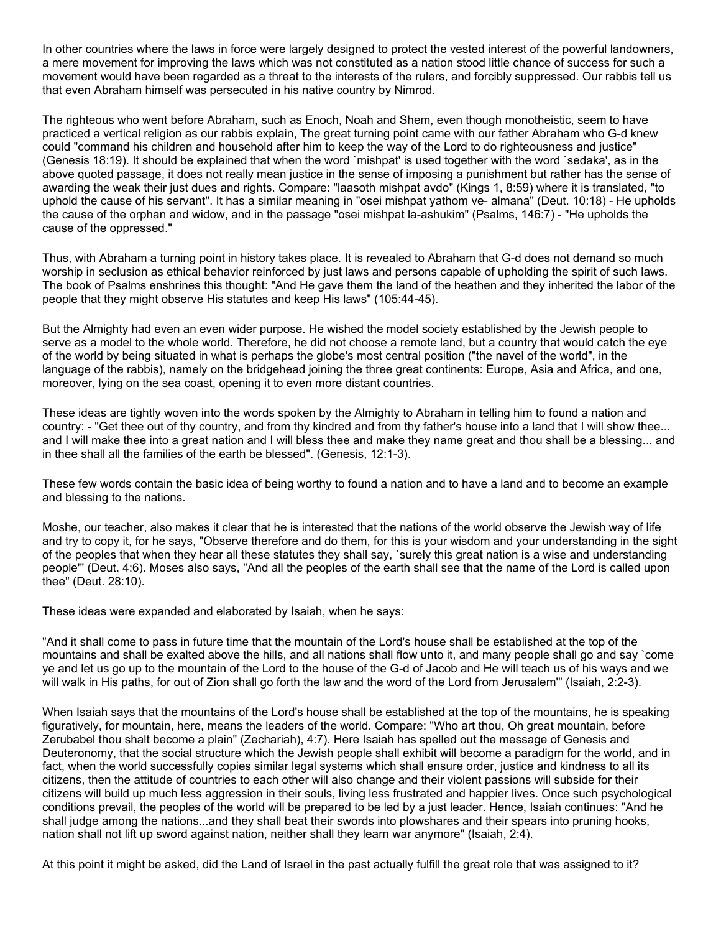In other countries where the laws in force were largely designed to protect the vested interest of the powerful landowners, a mere movement for improving the laws which was not constituted as a nation stood little chance of success for such a movement would have been regarded as a threat to the interests of the rulers, and forcibly suppressed. Our rabbis tell us that even Abraham himself was persecuted in his native country by Nimrod.

The righteous who went before Abraham, such as Enoch, Noah and Shem, even though monotheistic, seem to have practiced a vertical religion as our rabbis explain, The great turning point came with our father Abraham who G-d knew could "command his children and household after him to keep the way of the Lord to do righteousness and justice" (Genesis 18:19). It should be explained that when the word `mishpat' is used together with the word `sedaka', as in the above quoted passage, it does not really mean justice in the sense of imposing a punishment but rather has the sense of awarding the weak their just dues and rights. Compare: "laasoth mishpat avdo" (Kings 1, 8:59) where it is translated, "to uphold the cause of his servant". It has a similar meaning in "osei mishpat yathom ve- almana" (Deut. 10:18) - He upholds the cause of the orphan and widow, and in the passage "osei mishpat la-ashukim" (Psalms, 146:7) - "He upholds the cause of the oppressed."

Thus, with Abraham a turning point in history takes place. It is revealed to Abraham that G-d does not demand so much worship in seclusion as ethical behavior reinforced by just laws and persons capable of upholding the spirit of such laws. The book of Psalms enshrines this thought: "And He gave them the land of the heathen and they inherited the labor of the people that they might observe His statutes and keep His laws" (105:44-45).

But the Almighty had even an even wider purpose. He wished the model society established by the Jewish people to serve as a model to the whole world. Therefore, he did not choose a remote land, but a country that would catch the eye of the world by being situated in what is perhaps the globe's most central position ("the navel of the world", in the language of the rabbis), namely on the bridgehead joining the three great continents: Europe, Asia and Africa, and one, moreover, lying on the sea coast, opening it to even more distant countries.

These ideas are tightly woven into the words spoken by the Almighty to Abraham in telling him to found a nation and country: - "Get thee out of thy country, and from thy kindred and from thy father's house into a land that I will show thee... and I will make thee into a great nation and I will bless thee and make they name great and thou shall be a blessing... and in thee shall all the families of the earth be blessed". (Genesis, 12:1-3).

These few words contain the basic idea of being worthy to found a nation and to have a land and to become an example and blessing to the nations.

Moshe, our teacher, also makes it clear that he is interested that the nations of the world observe the Jewish way of life and try to copy it, for he says, "Observe therefore and do them, for this is your wisdom and your understanding in the sight of the peoples that when they hear all these statutes they shall say, `surely this great nation is a wise and understanding people'" (Deut. 4:6). Moses also says, "And all the peoples of the earth shall see that the name of the Lord is called upon thee" (Deut. 28:10).

These ideas were expanded and elaborated by Isaiah, when he says:

"And it shall come to pass in future time that the mountain of the Lord's house shall be established at the top of the mountains and shall be exalted above the hills, and all nations shall flow unto it, and many people shall go and say `come ye and let us go up to the mountain of the Lord to the house of the G-d of Jacob and He will teach us of his ways and we will walk in His paths, for out of Zion shall go forth the law and the word of the Lord from Jerusalem'" (Isaiah, 2:2-3).

When Isaiah says that the mountains of the Lord's house shall be established at the top of the mountains, he is speaking figuratively, for mountain, here, means the leaders of the world. Compare: "Who art thou, Oh great mountain, before Zerubabel thou shalt become a plain" (Zechariah), 4:7). Here Isaiah has spelled out the message of Genesis and Deuteronomy, that the social structure which the Jewish people shall exhibit will become a paradigm for the world, and in fact, when the world successfully copies similar legal systems which shall ensure order, justice and kindness to all its citizens, then the attitude of countries to each other will also change and their violent passions will subside for their citizens will build up much less aggression in their souls, living less frustrated and happier lives. Once such psychological conditions prevail, the peoples of the world will be prepared to be led by a just leader. Hence, Isaiah continues: "And he shall judge among the nations...and they shall beat their swords into plowshares and their spears into pruning hooks, nation shall not lift up sword against nation, neither shall they learn war anymore" (Isaiah, 2:4).

At this point it might be asked, did the Land of Israel in the past actually fulfill the great role that was assigned to it?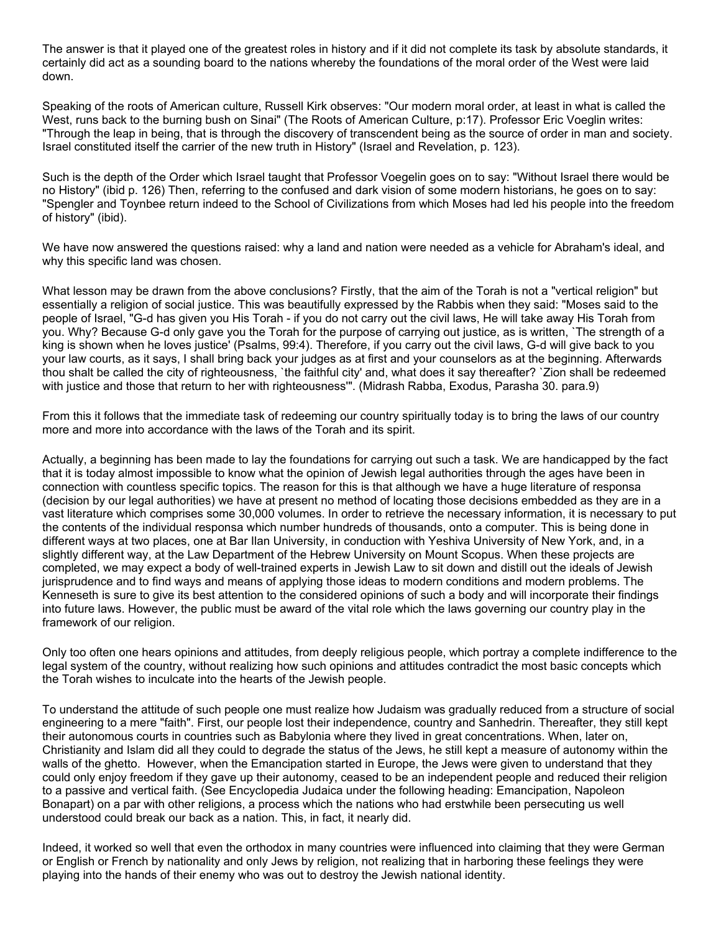The answer is that it played one of the greatest roles in history and if it did not complete its task by absolute standards, it certainly did act as a sounding board to the nations whereby the foundations of the moral order of the West were laid down.

Speaking of the roots of American culture, Russell Kirk observes: "Our modern moral order, at least in what is called the West, runs back to the burning bush on Sinai" (The Roots of American Culture, p:17). Professor Eric Voeglin writes: "Through the leap in being, that is through the discovery of transcendent being as the source of order in man and society. Israel constituted itself the carrier of the new truth in History" (Israel and Revelation, p. 123).

Such is the depth of the Order which Israel taught that Professor Voegelin goes on to say: "Without Israel there would be no History" (ibid p. 126) Then, referring to the confused and dark vision of some modern historians, he goes on to say: "Spengler and Toynbee return indeed to the School of Civilizations from which Moses had led his people into the freedom of history" (ibid).

We have now answered the questions raised: why a land and nation were needed as a vehicle for Abraham's ideal, and why this specific land was chosen.

What lesson may be drawn from the above conclusions? Firstly, that the aim of the Torah is not a "vertical religion" but essentially a religion of social justice. This was beautifully expressed by the Rabbis when they said: "Moses said to the people of Israel, "G-d has given you His Torah - if you do not carry out the civil laws, He will take away His Torah from you. Why? Because G-d only gave you the Torah for the purpose of carrying out justice, as is written, `The strength of a king is shown when he loves justice' (Psalms, 99:4). Therefore, if you carry out the civil laws, G-d will give back to you your law courts, as it says, I shall bring back your judges as at first and your counselors as at the beginning. Afterwards thou shalt be called the city of righteousness, `the faithful city' and, what does it say thereafter? `Zion shall be redeemed with justice and those that return to her with righteousness'". (Midrash Rabba, Exodus, Parasha 30. para.9)

From this it follows that the immediate task of redeeming our country spiritually today is to bring the laws of our country more and more into accordance with the laws of the Torah and its spirit.

Actually, a beginning has been made to lay the foundations for carrying out such a task. We are handicapped by the fact that it is today almost impossible to know what the opinion of Jewish legal authorities through the ages have been in connection with countless specific topics. The reason for this is that although we have a huge literature of responsa (decision by our legal authorities) we have at present no method of locating those decisions embedded as they are in a vast literature which comprises some 30,000 volumes. In order to retrieve the necessary information, it is necessary to put the contents of the individual responsa which number hundreds of thousands, onto a computer. This is being done in different ways at two places, one at Bar Ilan University, in conduction with Yeshiva University of New York, and, in a slightly different way, at the Law Department of the Hebrew University on Mount Scopus. When these projects are completed, we may expect a body of well-trained experts in Jewish Law to sit down and distill out the ideals of Jewish jurisprudence and to find ways and means of applying those ideas to modern conditions and modern problems. The Kenneseth is sure to give its best attention to the considered opinions of such a body and will incorporate their findings into future laws. However, the public must be award of the vital role which the laws governing our country play in the framework of our religion.

Only too often one hears opinions and attitudes, from deeply religious people, which portray a complete indifference to the legal system of the country, without realizing how such opinions and attitudes contradict the most basic concepts which the Torah wishes to inculcate into the hearts of the Jewish people.

To understand the attitude of such people one must realize how Judaism was gradually reduced from a structure of social engineering to a mere "faith". First, our people lost their independence, country and Sanhedrin. Thereafter, they still kept their autonomous courts in countries such as Babylonia where they lived in great concentrations. When, later on, Christianity and Islam did all they could to degrade the status of the Jews, he still kept a measure of autonomy within the walls of the ghetto. However, when the Emancipation started in Europe, the Jews were given to understand that they could only enjoy freedom if they gave up their autonomy, ceased to be an independent people and reduced their religion to a passive and vertical faith. (See Encyclopedia Judaica under the following heading: Emancipation, Napoleon Bonapart) on a par with other religions, a process which the nations who had erstwhile been persecuting us well understood could break our back as a nation. This, in fact, it nearly did.

Indeed, it worked so well that even the orthodox in many countries were influenced into claiming that they were German or English or French by nationality and only Jews by religion, not realizing that in harboring these feelings they were playing into the hands of their enemy who was out to destroy the Jewish national identity.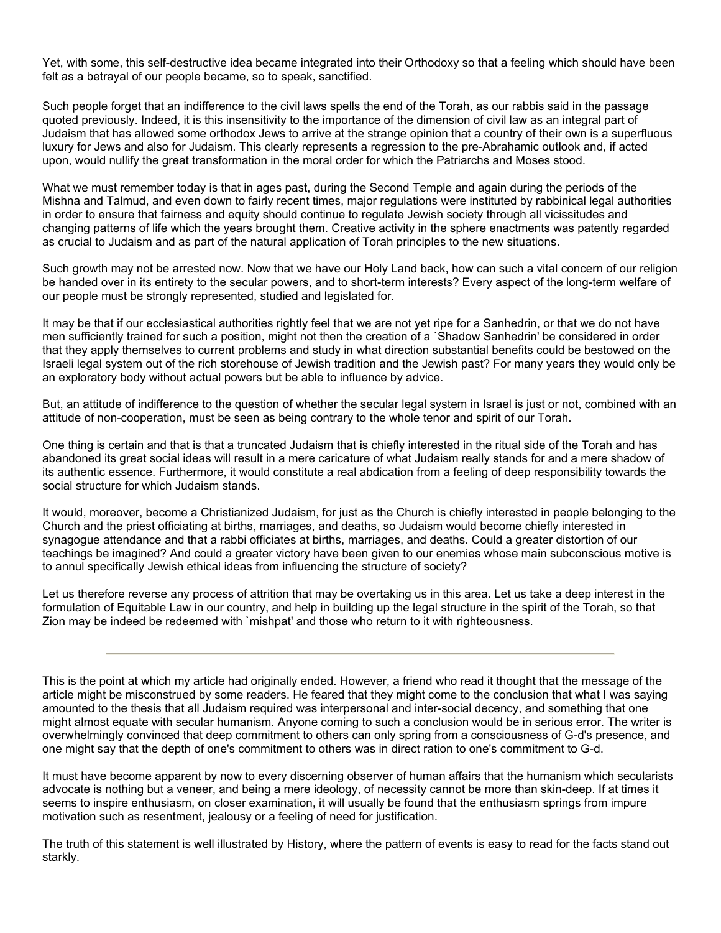Yet, with some, this self-destructive idea became integrated into their Orthodoxy so that a feeling which should have been felt as a betrayal of our people became, so to speak, sanctified.

Such people forget that an indifference to the civil laws spells the end of the Torah, as our rabbis said in the passage quoted previously. Indeed, it is this insensitivity to the importance of the dimension of civil law as an integral part of Judaism that has allowed some orthodox Jews to arrive at the strange opinion that a country of their own is a superfluous luxury for Jews and also for Judaism. This clearly represents a regression to the pre-Abrahamic outlook and, if acted upon, would nullify the great transformation in the moral order for which the Patriarchs and Moses stood.

What we must remember today is that in ages past, during the Second Temple and again during the periods of the Mishna and Talmud, and even down to fairly recent times, major regulations were instituted by rabbinical legal authorities in order to ensure that fairness and equity should continue to regulate Jewish society through all vicissitudes and changing patterns of life which the years brought them. Creative activity in the sphere enactments was patently regarded as crucial to Judaism and as part of the natural application of Torah principles to the new situations.

Such growth may not be arrested now. Now that we have our Holy Land back, how can such a vital concern of our religion be handed over in its entirety to the secular powers, and to short-term interests? Every aspect of the long-term welfare of our people must be strongly represented, studied and legislated for.

It may be that if our ecclesiastical authorities rightly feel that we are not yet ripe for a Sanhedrin, or that we do not have men sufficiently trained for such a position, might not then the creation of a `Shadow Sanhedrin' be considered in order that they apply themselves to current problems and study in what direction substantial benefits could be bestowed on the Israeli legal system out of the rich storehouse of Jewish tradition and the Jewish past? For many years they would only be an exploratory body without actual powers but be able to influence by advice.

But, an attitude of indifference to the question of whether the secular legal system in Israel is just or not, combined with an attitude of non-cooperation, must be seen as being contrary to the whole tenor and spirit of our Torah.

One thing is certain and that is that a truncated Judaism that is chiefly interested in the ritual side of the Torah and has abandoned its great social ideas will result in a mere caricature of what Judaism really stands for and a mere shadow of its authentic essence. Furthermore, it would constitute a real abdication from a feeling of deep responsibility towards the social structure for which Judaism stands.

It would, moreover, become a Christianized Judaism, for just as the Church is chiefly interested in people belonging to the Church and the priest officiating at births, marriages, and deaths, so Judaism would become chiefly interested in synagogue attendance and that a rabbi officiates at births, marriages, and deaths. Could a greater distortion of our teachings be imagined? And could a greater victory have been given to our enemies whose main subconscious motive is to annul specifically Jewish ethical ideas from influencing the structure of society?

Let us therefore reverse any process of attrition that may be overtaking us in this area. Let us take a deep interest in the formulation of Equitable Law in our country, and help in building up the legal structure in the spirit of the Torah, so that Zion may be indeed be redeemed with `mishpat' and those who return to it with righteousness.

This is the point at which my article had originally ended. However, a friend who read it thought that the message of the article might be misconstrued by some readers. He feared that they might come to the conclusion that what I was saying amounted to the thesis that all Judaism required was interpersonal and inter-social decency, and something that one might almost equate with secular humanism. Anyone coming to such a conclusion would be in serious error. The writer is overwhelmingly convinced that deep commitment to others can only spring from a consciousness of G-d's presence, and one might say that the depth of one's commitment to others was in direct ration to one's commitment to G-d.

It must have become apparent by now to every discerning observer of human affairs that the humanism which secularists advocate is nothing but a veneer, and being a mere ideology, of necessity cannot be more than skin-deep. If at times it seems to inspire enthusiasm, on closer examination, it will usually be found that the enthusiasm springs from impure motivation such as resentment, jealousy or a feeling of need for justification.

The truth of this statement is well illustrated by History, where the pattern of events is easy to read for the facts stand out starkly.